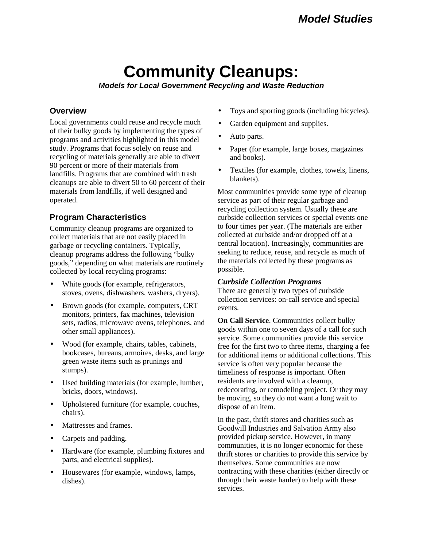# **Community Cleanups:**

*Models for Local Government Recycling and Waste Reduction*

# **Overview**

Local governments could reuse and recycle much of their bulky goods by implementing the types of programs and activities highlighted in this model study. Programs that focus solely on reuse and recycling of materials generally are able to divert 90 percent or more of their materials from landfills. Programs that are combined with trash cleanups are able to divert 50 to 60 percent of their materials from landfills, if well designed and operated.

# **Program Characteristics**

Community cleanup programs are organized to collect materials that are not easily placed in garbage or recycling containers. Typically, cleanup programs address the following "bulky goods," depending on what materials are routinely collected by local recycling programs:

- White goods (for example, refrigerators, stoves, ovens, dishwashers, washers, dryers).
- Brown goods (for example, computers, CRT monitors, printers, fax machines, television sets, radios, microwave ovens, telephones, and other small appliances).
- Wood (for example, chairs, tables, cabinets, bookcases, bureaus, armoires, desks, and large green waste items such as prunings and stumps).
- Used building materials (for example, lumber, bricks, doors, windows).
- Upholstered furniture (for example, couches, chairs).
- Mattresses and frames.
- Carpets and padding.
- Hardware (for example, plumbing fixtures and parts, and electrical supplies).
- Housewares (for example, windows, lamps, dishes).
- Toys and sporting goods (including bicycles).
- Garden equipment and supplies.
- Auto parts.
- Paper (for example, large boxes, magazines) and books).
- Textiles (for example, clothes, towels, linens, blankets).

Most communities provide some type of cleanup service as part of their regular garbage and recycling collection system. Usually these are curbside collection services or special events one to four times per year. (The materials are either collected at curbside and/or dropped off at a central location). Increasingly, communities are seeking to reduce, reuse, and recycle as much of the materials collected by these programs as possible.

## *Curbside Collection Programs*

There are generally two types of curbside collection services: on-call service and special events.

**On Call Service**. Communities collect bulky goods within one to seven days of a call for such service. Some communities provide this service free for the first two to three items, charging a fee for additional items or additional collections. This service is often very popular because the timeliness of response is important. Often residents are involved with a cleanup, redecorating, or remodeling project. Or they may be moving, so they do not want a long wait to dispose of an item.

In the past, thrift stores and charities such as Goodwill Industries and Salvation Army also provided pickup service. However, in many communities, it is no longer economic for these thrift stores or charities to provide this service by themselves. Some communities are now contracting with these charities (either directly or through their waste hauler) to help with these services.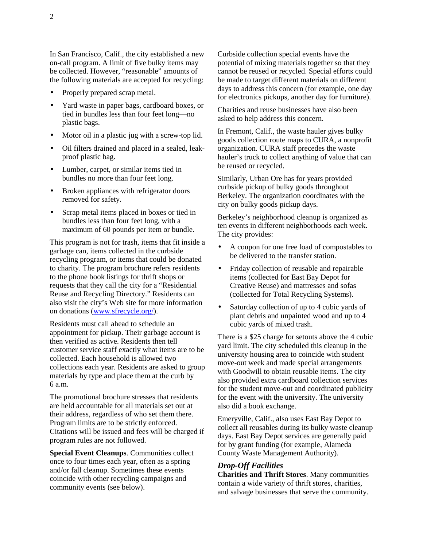In San Francisco, Calif., the city established a new on-call program. A limit of five bulky items may be collected. However, "reasonable" amounts of the following materials are accepted for recycling:

- Properly prepared scrap metal.
- Yard waste in paper bags, cardboard boxes, or tied in bundles less than four feet long—no plastic bags.
- Motor oil in a plastic jug with a screw-top lid.
- Oil filters drained and placed in a sealed, leakproof plastic bag.
- Lumber, carpet, or similar items tied in bundles no more than four feet long.
- Broken appliances with refrigerator doors removed for safety.
- Scrap metal items placed in boxes or tied in bundles less than four feet long, with a maximum of 60 pounds per item or bundle.

This program is not for trash, items that fit inside a garbage can, items collected in the curbside recycling program, or items that could be donated to charity. The program brochure refers residents to the phone book listings for thrift shops or requests that they call the city for a "Residential Reuse and Recycling Directory." Residents can also visit the city's Web site for more information on donations [\(www.sfrecycle.org/\).](http://www.sfrecycle.org/)

Residents must call ahead to schedule an appointment for pickup. Their garbage account is then verified as active. Residents then tell customer service staff exactly what items are to be collected. Each household is allowed two collections each year. Residents are asked to group materials by type and place them at the curb by 6 a.m.

The promotional brochure stresses that residents are held accountable for all materials set out at their address, regardless of who set them there. Program limits are to be strictly enforced. Citations will be issued and fees will be charged if program rules are not followed.

**Special Event Cleanups**. Communities collect once to four times each year, often as a spring and/or fall cleanup. Sometimes these events coincide with other recycling campaigns and community events (see below).

Curbside collection special events have the potential of mixing materials together so that they cannot be reused or recycled. Special efforts could be made to target different materials on different days to address this concern (for example, one day for electronics pickups, another day for furniture).

Charities and reuse businesses have also been asked to help address this concern.

In Fremont, Calif., the waste hauler gives bulky goods collection route maps to CURA, a nonprofit organization. CURA staff precedes the waste hauler's truck to collect anything of value that can be reused or recycled.

Similarly, Urban Ore has for years provided curbside pickup of bulky goods throughout Berkeley. The organization coordinates with the city on bulky goods pickup days.

Berkeley's neighborhood cleanup is organized as ten events in different neighborhoods each week. The city provides:

- A coupon for one free load of compostables to be delivered to the transfer station.
- Friday collection of reusable and repairable items (collected for East Bay Depot for Creative Reuse) and mattresses and sofas (collected for Total Recycling Systems).
- Saturday collection of up to 4 cubic yards of plant debris and unpainted wood and up to 4 cubic yards of mixed trash.

There is a \$25 charge for setouts above the 4 cubic yard limit. The city scheduled this cleanup in the university housing area to coincide with student move-out week and made special arrangements with Goodwill to obtain reusable items. The city also provided extra cardboard collection services for the student move-out and coordinated publicity for the event with the university. The university also did a book exchange.

Emeryville, Calif., also uses East Bay Depot to collect all reusables during its bulky waste cleanup days. East Bay Depot services are generally paid for by grant funding (for example, Alameda County Waste Management Authority).

#### *Drop-Off Facilities*

**Charities and Thrift Stores**. Many communities contain a wide variety of thrift stores, charities, and salvage businesses that serve the community.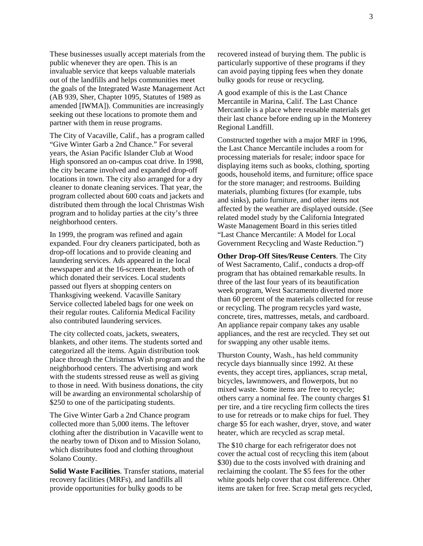These businesses usually accept materials from the public whenever they are open. This is an invaluable service that keeps valuable materials out of the landfills and helps communities meet the goals of the Integrated Waste Management Act (AB 939, Sher, Chapter 1095, Statutes of 1989 as amended [IWMA]). Communities are increasingly seeking out these locations to promote them and partner with them in reuse programs.

The City of Vacaville, Calif., has a program called "Give Winter Garb a 2nd Chance." For several years, the Asian Pacific Islander Club at Wood High sponsored an on-campus coat drive. In 1998, the city became involved and expanded drop-off locations in town. The city also arranged for a dry cleaner to donate cleaning services. That year, the program collected about 600 coats and jackets and distributed them through the local Christmas Wish program and to holiday parties at the city's three neighborhood centers.

In 1999, the program was refined and again expanded. Four dry cleaners participated, both as drop-off locations and to provide cleaning and laundering services. Ads appeared in the local newspaper and at the 16-screen theater, both of which donated their services. Local students passed out flyers at shopping centers on Thanksgiving weekend. Vacaville Sanitary Service collected labeled bags for one week on their regular routes. California Medical Facility also contributed laundering services.

The city collected coats, jackets, sweaters, blankets, and other items. The students sorted and categorized all the items. Again distribution took place through the Christmas Wish program and the neighborhood centers. The advertising and work with the students stressed reuse as well as giving to those in need. With business donations, the city will be awarding an environmental scholarship of \$250 to one of the participating students.

The Give Winter Garb a 2nd Chance program collected more than 5,000 items. The leftover clothing after the distribution in Vacaville went to the nearby town of Dixon and to Mission Solano, which distributes food and clothing throughout Solano County.

**Solid Waste Facilities**. Transfer stations, material recovery facilities (MRFs), and landfills all provide opportunities for bulky goods to be

recovered instead of burying them. The public is particularly supportive of these programs if they can avoid paying tipping fees when they donate bulky goods for reuse or recycling.

A good example of this is the Last Chance Mercantile in Marina, Calif. The Last Chance Mercantile is a place where reusable materials get their last chance before ending up in the Monterey Regional Landfill.

Constructed together with a major MRF in 1996, the Last Chance Mercantile includes a room for processing materials for resale; indoor space for displaying items such as books, clothing, sporting goods, household items, and furniture; office space for the store manager; and restrooms. Building materials, plumbing fixtures (for example, tubs and sinks), patio furniture, and other items not affected by the weather are displayed outside. (See related model study by the California Integrated Waste Management Board in this series titled "Last Chance Mercantile: A Model for Local Government Recycling and Waste Reduction.")

**Other Drop-Off Sites/Reuse Centers**. The City of West Sacramento, Calif., conducts a drop-off program that has obtained remarkable results. In three of the last four years of its beautification week program, West Sacramento diverted more than 60 percent of the materials collected for reuse or recycling. The program recycles yard waste, concrete, tires, mattresses, metals, and cardboard. An appliance repair company takes any usable appliances, and the rest are recycled. They set out for swapping any other usable items.

Thurston County, Wash., has held community recycle days biannually since 1992. At these events, they accept tires, appliances, scrap metal, bicycles, lawnmowers, and flowerpots, but no mixed waste. Some items are free to recycle; others carry a nominal fee. The county charges \$1 per tire, and a tire recycling firm collects the tires to use for retreads or to make chips for fuel. They charge \$5 for each washer, dryer, stove, and water heater, which are recycled as scrap metal.

The \$10 charge for each refrigerator does not cover the actual cost of recycling this item (about \$30) due to the costs involved with draining and reclaiming the coolant. The \$5 fees for the other white goods help cover that cost difference. Other items are taken for free. Scrap metal gets recycled,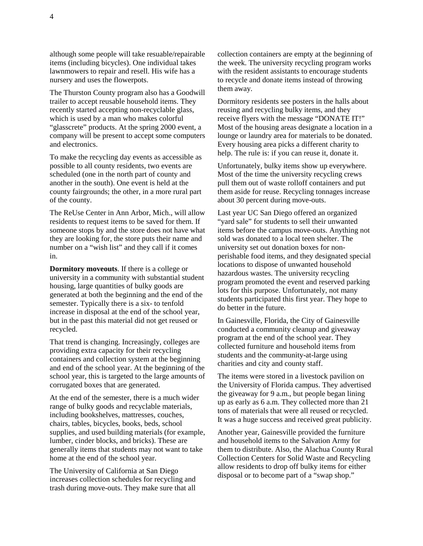although some people will take resuable/repairable items (including bicycles). One individual takes lawnmowers to repair and resell. His wife has a nursery and uses the flowerpots.

The Thurston County program also has a Goodwill trailer to accept reusable household items. They recently started accepting non-recyclable glass, which is used by a man who makes colorful "glasscrete" products. At the spring 2000 event, a company will be present to accept some computers and electronics.

To make the recycling day events as accessible as possible to all county residents, two events are scheduled (one in the north part of county and another in the south). One event is held at the county fairgrounds; the other, in a more rural part of the county.

The ReUse Center in Ann Arbor, Mich., will allow residents to request items to be saved for them. If someone stops by and the store does not have what they are looking for, the store puts their name and number on a "wish list" and they call if it comes in.

**Dormitory moveouts**. If there is a college or university in a community with substantial student housing, large quantities of bulky goods are generated at both the beginning and the end of the semester. Typically there is a six- to tenfold increase in disposal at the end of the school year, but in the past this material did not get reused or recycled.

That trend is changing. Increasingly, colleges are providing extra capacity for their recycling containers and collection system at the beginning and end of the school year. At the beginning of the school year, this is targeted to the large amounts of corrugated boxes that are generated.

At the end of the semester, there is a much wider range of bulky goods and recyclable materials, including bookshelves, mattresses, couches, chairs, tables, bicycles, books, beds, school supplies, and used building materials (for example, lumber, cinder blocks, and bricks). These are generally items that students may not want to take home at the end of the school year.

The University of California at San Diego increases collection schedules for recycling and trash during move-outs. They make sure that all collection containers are empty at the beginning of the week. The university recycling program works with the resident assistants to encourage students to recycle and donate items instead of throwing them away.

Dormitory residents see posters in the halls about reusing and recycling bulky items, and they receive flyers with the message "DONATE IT!" Most of the housing areas designate a location in a lounge or laundry area for materials to be donated. Every housing area picks a different charity to help. The rule is: if you can reuse it, donate it.

Unfortunately, bulky items show up everywhere. Most of the time the university recycling crews pull them out of waste rolloff containers and put them aside for reuse. Recycling tonnages increase about 30 percent during move-outs.

Last year UC San Diego offered an organized "yard sale" for students to sell their unwanted items before the campus move-outs. Anything not sold was donated to a local teen shelter. The university set out donation boxes for nonperishable food items, and they designated special locations to dispose of unwanted household hazardous wastes. The university recycling program promoted the event and reserved parking lots for this purpose. Unfortunately, not many students participated this first year. They hope to do better in the future.

In Gainesville, Florida, the City of Gainesville conducted a community cleanup and giveaway program at the end of the school year. They collected furniture and household items from students and the community-at-large using charities and city and county staff.

The items were stored in a livestock pavilion on the University of Florida campus. They advertised the giveaway for 9 a.m., but people began lining up as early as 6 a.m. They collected more than 21 tons of materials that were all reused or recycled. It was a huge success and received great publicity.

Another year, Gainesville provided the furniture and household items to the Salvation Army for them to distribute. Also, the Alachua County Rural Collection Centers for Solid Waste and Recycling allow residents to drop off bulky items for either disposal or to become part of a "swap shop."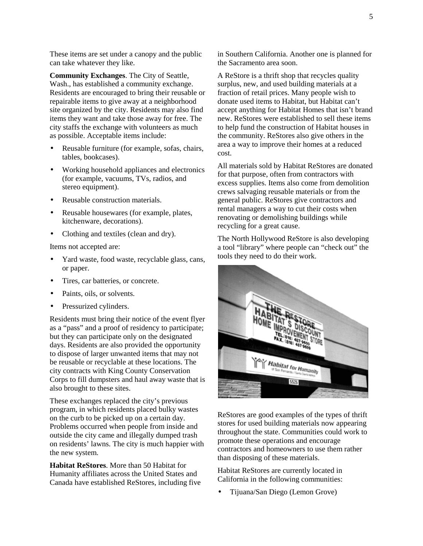These items are set under a canopy and the public can take whatever they like.

**Community Exchanges**. The City of Seattle, Wash., has established a community exchange. Residents are encouraged to bring their reusable or repairable items to give away at a neighborhood site organized by the city. Residents may also find items they want and take those away for free. The city staffs the exchange with volunteers as much as possible. Acceptable items include:

- Reusable furniture (for example, sofas, chairs, tables, bookcases).
- Working household appliances and electronics (for example, vacuums, TVs, radios, and stereo equipment).
- Reusable construction materials.
- Reusable housewares (for example, plates, kitchenware, decorations).
- Clothing and textiles (clean and dry).

Items not accepted are:

- Yard waste, food waste, recyclable glass, cans, or paper.
- Tires, car batteries, or concrete.
- Paints, oils, or solvents.
- Pressurized cylinders.

Residents must bring their notice of the event flyer as a "pass" and a proof of residency to participate; but they can participate only on the designated days. Residents are also provided the opportunity to dispose of larger unwanted items that may not be reusable or recyclable at these locations. The city contracts with King County Conservation Corps to fill dumpsters and haul away waste that is also brought to these sites.

These exchanges replaced the city's previous program, in which residents placed bulky wastes on the curb to be picked up on a certain day. Problems occurred when people from inside and outside the city came and illegally dumped trash on residents' lawns. The city is much happier with the new system.

**Habitat ReStores**. More than 50 Habitat for Humanity affiliates across the United States and Canada have established ReStores, including five in Southern California. Another one is planned for the Sacramento area soon.

A ReStore is a thrift shop that recycles quality surplus, new, and used building materials at a fraction of retail prices. Many people wish to donate used items to Habitat, but Habitat can't accept anything for Habitat Homes that isn't brand new. ReStores were established to sell these items to help fund the construction of Habitat houses in the community. ReStores also give others in the area a way to improve their homes at a reduced cost.

All materials sold by Habitat ReStores are donated for that purpose, often from contractors with excess supplies. Items also come from demolition crews salvaging reusable materials or from the general public. ReStores give contractors and rental managers a way to cut their costs when renovating or demolishing buildings while recycling for a great cause.

The North Hollywood ReStore is also developing a tool "library" where people can "check out" the tools they need to do their work.



ReStores are good examples of the types of thrift stores for used building materials now appearing throughout the state. Communities could work to promote these operations and encourage contractors and homeowners to use them rather than disposing of these materials.

Habitat ReStores are currently located in California in the following communities:

• Tijuana/San Diego (Lemon Grove)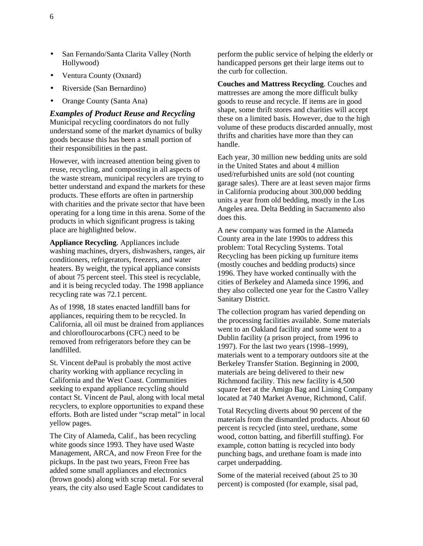- San Fernando/Santa Clarita Valley (North Hollywood)
- Ventura County (Oxnard)
- Riverside (San Bernardino)
- Orange County (Santa Ana)

*Examples of Product Reuse and Recycling*  Municipal recycling coordinators do not fully understand some of the market dynamics of bulky goods because this has been a small portion of their responsibilities in the past.

However, with increased attention being given to reuse, recycling, and composting in all aspects of the waste stream, municipal recyclers are trying to better understand and expand the markets for these products. These efforts are often in partnership with charities and the private sector that have been operating for a long time in this arena. Some of the products in which significant progress is taking place are highlighted below.

**Appliance Recycling**. Appliances include washing machines, dryers, dishwashers, ranges, air conditioners, refrigerators, freezers, and water heaters. By weight, the typical appliance consists of about 75 percent steel. This steel is recyclable, and it is being recycled today. The 1998 appliance recycling rate was 72.1 percent.

As of 1998, 18 states enacted landfill bans for appliances, requiring them to be recycled. In California, all oil must be drained from appliances and chloroflourocarbons (CFC) need to be removed from refrigerators before they can be landfilled.

St. Vincent dePaul is probably the most active charity working with appliance recycling in California and the West Coast. Communities seeking to expand appliance recycling should contact St. Vincent de Paul, along with local metal recyclers, to explore opportunities to expand these efforts. Both are listed under "scrap metal" in local yellow pages.

The City of Alameda, Calif., has been recycling white goods since 1993. They have used Waste Management, ARCA, and now Freon Free for the pickups. In the past two years, Freon Free has added some small appliances and electronics (brown goods) along with scrap metal. For several years, the city also used Eagle Scout candidates to perform the public service of helping the elderly or handicapped persons get their large items out to the curb for collection.

**Couches and Mattress Recycling**. Couches and mattresses are among the more difficult bulky goods to reuse and recycle. If items are in good shape, some thrift stores and charities will accept these on a limited basis. However, due to the high volume of these products discarded annually, most thrifts and charities have more than they can handle.

Each year, 30 million new bedding units are sold in the United States and about 4 million used/refurbished units are sold (not counting garage sales). There are at least seven major firms in California producing about 300,000 bedding units a year from old bedding, mostly in the Los Angeles area. Delta Bedding in Sacramento also does this.

A new company was formed in the Alameda County area in the late 1990s to address this problem: Total Recycling Systems. Total Recycling has been picking up furniture items (mostly couches and bedding products) since 1996. They have worked continually with the cities of Berkeley and Alameda since 1996, and they also collected one year for the Castro Valley Sanitary District.

The collection program has varied depending on the processing facilities available. Some materials went to an Oakland facility and some went to a Dublin facility (a prison project, from 1996 to 1997). For the last two years (1998–1999), materials went to a temporary outdoors site at the Berkeley Transfer Station. Beginning in 2000, materials are being delivered to their new Richmond facility. This new facility is 4,500 square feet at the Amigo Bag and Lining Company located at 740 Market Avenue, Richmond, Calif.

Total Recycling diverts about 90 percent of the materials from the dismantled products. About 60 percent is recycled (into steel, urethane, some wood, cotton batting, and fiberfill stuffing). For example, cotton batting is recycled into body punching bags, and urethane foam is made into carpet underpadding.

Some of the material received (about 25 to 30 percent) is composted (for example, sisal pad,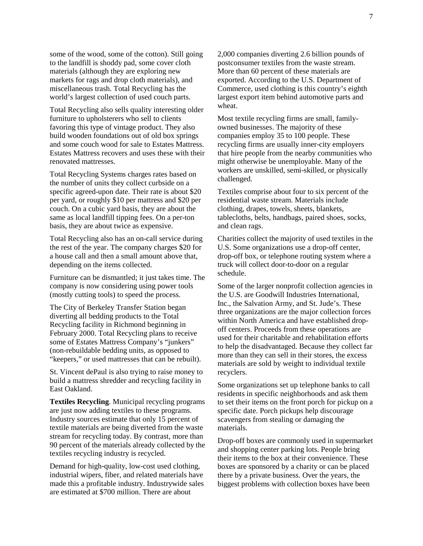some of the wood, some of the cotton). Still going to the landfill is shoddy pad, some cover cloth materials (although they are exploring new markets for rags and drop cloth materials), and miscellaneous trash. Total Recycling has the world's largest collection of used couch parts.

Total Recycling also sells quality interesting older furniture to upholsterers who sell to clients favoring this type of vintage product. They also build wooden foundations out of old box springs and some couch wood for sale to Estates Mattress. Estates Mattress recovers and uses these with their renovated mattresses.

Total Recycling Systems charges rates based on the number of units they collect curbside on a specific agreed-upon date. Their rate is about \$20 per yard, or roughly \$10 per mattress and \$20 per couch. On a cubic yard basis, they are about the same as local landfill tipping fees. On a per-ton basis, they are about twice as expensive.

Total Recycling also has an on-call service during the rest of the year. The company charges \$20 for a house call and then a small amount above that, depending on the items collected.

Furniture can be dismantled; it just takes time. The company is now considering using power tools (mostly cutting tools) to speed the process.

The City of Berkeley Transfer Station began diverting all bedding products to the Total Recycling facility in Richmond beginning in February 2000. Total Recycling plans to receive some of Estates Mattress Company's "junkers" (non-rebuildable bedding units, as opposed to "keepers," or used mattresses that can be rebuilt).

St. Vincent dePaul is also trying to raise money to build a mattress shredder and recycling facility in East Oakland.

**Textiles Recycling**. Municipal recycling programs are just now adding textiles to these programs. Industry sources estimate that only 15 percent of textile materials are being diverted from the waste stream for recycling today. By contrast, more than 90 percent of the materials already collected by the textiles recycling industry is recycled.

Demand for high-quality, low-cost used clothing, industrial wipers, fiber, and related materials have made this a profitable industry. Industrywide sales are estimated at \$700 million. There are about

2,000 companies diverting 2.6 billion pounds of postconsumer textiles from the waste stream. More than 60 percent of these materials are exported. According to the U.S. Department of Commerce, used clothing is this country's eighth largest export item behind automotive parts and wheat.

Most textile recycling firms are small, familyowned businesses. The majority of these companies employ 35 to 100 people. These recycling firms are usually inner-city employers that hire people from the nearby communities who might otherwise be unemployable. Many of the workers are unskilled, semi-skilled, or physically challenged.

Textiles comprise about four to six percent of the residential waste stream. Materials include clothing, drapes, towels, sheets, blankets, tablecloths, belts, handbags, paired shoes, socks, and clean rags.

Charities collect the majority of used textiles in the U.S. Some organizations use a drop-off center, drop-off box, or telephone routing system where a truck will collect door-to-door on a regular schedule.

Some of the larger nonprofit collection agencies in the U.S. are Goodwill Industries International, Inc., the Salvation Army, and St. Jude's. These three organizations are the major collection forces within North America and have established dropoff centers. Proceeds from these operations are used for their charitable and rehabilitation efforts to help the disadvantaged. Because they collect far more than they can sell in their stores, the excess materials are sold by weight to individual textile recyclers.

Some organizations set up telephone banks to call residents in specific neighborhoods and ask them to set their items on the front porch for pickup on a specific date. Porch pickups help discourage scavengers from stealing or damaging the materials.

Drop-off boxes are commonly used in supermarket and shopping center parking lots. People bring their items to the box at their convenience. These boxes are sponsored by a charity or can be placed there by a private business. Over the years, the biggest problems with collection boxes have been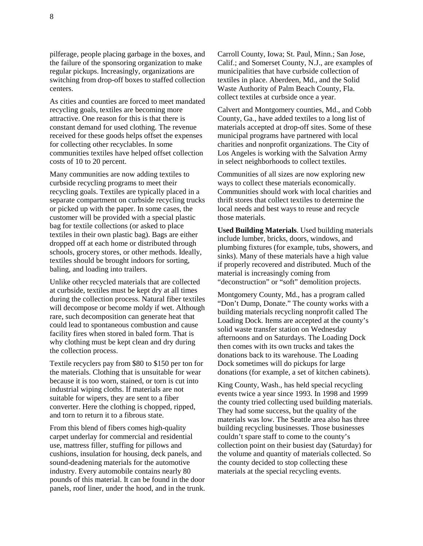pilferage, people placing garbage in the boxes, and the failure of the sponsoring organization to make regular pickups. Increasingly, organizations are switching from drop-off boxes to staffed collection centers.

As cities and counties are forced to meet mandated recycling goals, textiles are becoming more attractive. One reason for this is that there is constant demand for used clothing. The revenue received for these goods helps offset the expenses for collecting other recyclables. In some communities textiles have helped offset collection costs of 10 to 20 percent.

Many communities are now adding textiles to curbside recycling programs to meet their recycling goals. Textiles are typically placed in a separate compartment on curbside recycling trucks or picked up with the paper. In some cases, the customer will be provided with a special plastic bag for textile collections (or asked to place textiles in their own plastic bag). Bags are either dropped off at each home or distributed through schools, grocery stores, or other methods. Ideally, textiles should be brought indoors for sorting, baling, and loading into trailers.

Unlike other recycled materials that are collected at curbside, textiles must be kept dry at all times during the collection process. Natural fiber textiles will decompose or become moldy if wet. Although rare, such decomposition can generate heat that could lead to spontaneous combustion and cause facility fires when stored in baled form. That is why clothing must be kept clean and dry during the collection process.

Textile recyclers pay from \$80 to \$150 per ton for the materials. Clothing that is unsuitable for wear because it is too worn, stained, or torn is cut into industrial wiping cloths. If materials are not suitable for wipers, they are sent to a fiber converter. Here the clothing is chopped, ripped, and torn to return it to a fibrous state.

From this blend of fibers comes high-quality carpet underlay for commercial and residential use, mattress filler, stuffing for pillows and cushions, insulation for housing, deck panels, and sound-deadening materials for the automotive industry. Every automobile contains nearly 80 pounds of this material. It can be found in the door panels, roof liner, under the hood, and in the trunk.

Carroll County, Iowa; St. Paul, Minn.; San Jose, Calif.; and Somerset County, N.J., are examples of municipalities that have curbside collection of textiles in place. Aberdeen, Md., and the Solid Waste Authority of Palm Beach County, Fla. collect textiles at curbside once a year.

Calvert and Montgomery counties, Md., and Cobb County, Ga., have added textiles to a long list of materials accepted at drop-off sites. Some of these municipal programs have partnered with local charities and nonprofit organizations. The City of Los Angeles is working with the Salvation Army in select neighborhoods to collect textiles.

Communities of all sizes are now exploring new ways to collect these materials economically. Communities should work with local charities and thrift stores that collect textiles to determine the local needs and best ways to reuse and recycle those materials.

**Used Building Materials**. Used building materials include lumber, bricks, doors, windows, and plumbing fixtures (for example, tubs, showers, and sinks). Many of these materials have a high value if properly recovered and distributed. Much of the material is increasingly coming from "deconstruction" or "soft" demolition projects.

Montgomery County, Md., has a program called "Don't Dump, Donate." The county works with a building materials recycling nonprofit called The Loading Dock. Items are accepted at the county's solid waste transfer station on Wednesday afternoons and on Saturdays. The Loading Dock then comes with its own trucks and takes the donations back to its warehouse. The Loading Dock sometimes will do pickups for large donations (for example, a set of kitchen cabinets).

King County, Wash., has held special recycling events twice a year since 1993. In 1998 and 1999 the county tried collecting used building materials. They had some success, but the quality of the materials was low. The Seattle area also has three building recycling businesses. Those businesses couldn't spare staff to come to the county's collection point on their busiest day (Saturday) for the volume and quantity of materials collected. So the county decided to stop collecting these materials at the special recycling events.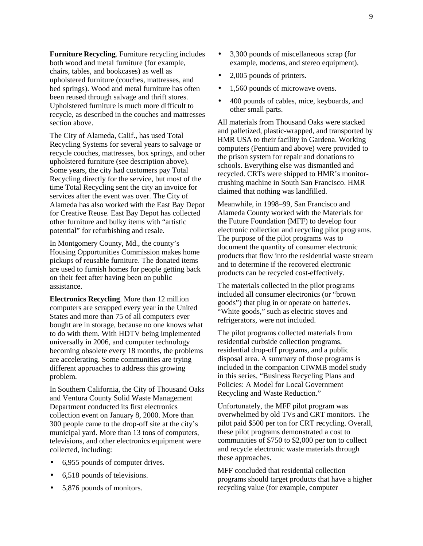**Furniture Recycling**. Furniture recycling includes both wood and metal furniture (for example, chairs, tables, and bookcases) as well as upholstered furniture (couches, mattresses, and bed springs). Wood and metal furniture has often been reused through salvage and thrift stores. Upholstered furniture is much more difficult to recycle, as described in the couches and mattresses section above.

The City of Alameda, Calif., has used Total Recycling Systems for several years to salvage or recycle couches, mattresses, box springs, and other upholstered furniture (see description above). Some years, the city had customers pay Total Recycling directly for the service, but most of the time Total Recycling sent the city an invoice for services after the event was over. The City of Alameda has also worked with the East Bay Depot for Creative Reuse. East Bay Depot has collected other furniture and bulky items with "artistic potential" for refurbishing and resale.

In Montgomery County, Md., the county's Housing Opportunities Commission makes home pickups of reusable furniture. The donated items are used to furnish homes for people getting back on their feet after having been on public assistance.

**Electronics Recycling**. More than 12 million computers are scrapped every year in the United States and more than 75 of all computers ever bought are in storage, because no one knows what to do with them. With HDTV being implemented universally in 2006, and computer technology becoming obsolete every 18 months, the problems are accelerating. Some communities are trying different approaches to address this growing problem.

In Southern California, the City of Thousand Oaks and Ventura County Solid Waste Management Department conducted its first electronics collection event on January 8, 2000. More than 300 people came to the drop-off site at the city's municipal yard. More than 13 tons of computers, televisions, and other electronics equipment were collected, including:

- 6,955 pounds of computer drives.
- 6,518 pounds of televisions.
- 5,876 pounds of monitors.
- 3,300 pounds of miscellaneous scrap (for example, modems, and stereo equipment).
- 2,005 pounds of printers.
- 1,560 pounds of microwave ovens.
- 400 pounds of cables, mice, keyboards, and other small parts.

All materials from Thousand Oaks were stacked and palletized, plastic-wrapped, and transported by HMR USA to their facility in Gardena. Working computers (Pentium and above) were provided to the prison system for repair and donations to schools. Everything else was dismantled and recycled. CRTs were shipped to HMR's monitorcrushing machine in South San Francisco. HMR claimed that nothing was landfilled.

Meanwhile, in 1998–99, San Francisco and Alameda County worked with the Materials for the Future Foundation (MFF) to develop four electronic collection and recycling pilot programs. The purpose of the pilot programs was to document the quantity of consumer electronic products that flow into the residential waste stream and to determine if the recovered electronic products can be recycled cost-effectively.

The materials collected in the pilot programs included all consumer electronics (or "brown goods") that plug in or operate on batteries. "White goods," such as electric stoves and refrigerators, were not included.

The pilot programs collected materials from residential curbside collection programs, residential drop-off programs, and a public disposal area. A summary of those programs is included in the companion CIWMB model study in this series, "Business Recycling Plans and Policies: A Model for Local Government Recycling and Waste Reduction."

Unfortunately, the MFF pilot program was overwhelmed by old TVs and CRT monitors. The pilot paid \$500 per ton for CRT recycling. Overall, these pilot programs demonstrated a cost to communities of \$750 to \$2,000 per ton to collect and recycle electronic waste materials through these approaches.

MFF concluded that residential collection programs should target products that have a higher recycling value (for example, computer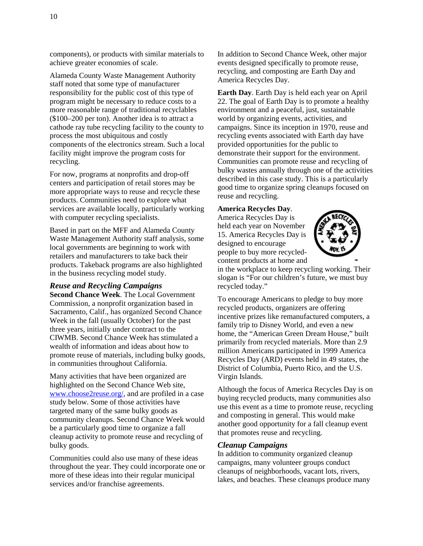components), or products with similar materials to achieve greater economies of scale.

Alameda County Waste Management Authority staff noted that some type of manufacturer responsibility for the public cost of this type of program might be necessary to reduce costs to a more reasonable range of traditional recyclables (\$100–200 per ton). Another idea is to attract a cathode ray tube recycling facility to the county to process the most ubiquitous and costly components of the electronics stream. Such a local facility might improve the program costs for recycling.

For now, programs at nonprofits and drop-off centers and participation of retail stores may be more appropriate ways to reuse and recycle these products. Communities need to explore what services are available locally, particularly working with computer recycling specialists.

Based in part on the MFF and Alameda County Waste Management Authority staff analysis, some local governments are beginning to work with retailers and manufacturers to take back their products. Takeback programs are also highlighted in the business recycling model study.

#### *Reuse and Recycling Campaigns*

**Second Chance Week**. The Local Government Commission, a nonprofit organization based in Sacramento, Calif., has organized Second Chance Week in the fall (usually October) for the past three years, initially under contract to the CIWMB. Second Chance Week has stimulated a wealth of information and ideas about how to promote reuse of materials, including bulky goods, in communities throughout California.

Many activities that have been organized are highlighted on the Second Chance Web site, [www.choose2reuse.org/,](http://www.choose2reuse.org/) and are profiled in a case study below. Some of those activities have targeted many of the same bulky goods as community cleanups. Second Chance Week would be a particularly good time to organize a fall cleanup activity to promote reuse and recycling of bulky goods.

Communities could also use many of these ideas throughout the year. They could incorporate one or more of these ideas into their regular municipal services and/or franchise agreements.

In addition to Second Chance Week, other major events designed specifically to promote reuse, recycling, and composting are Earth Day and America Recycles Day.

**Earth Day**. Earth Day is held each year on April 22. The goal of Earth Day is to promote a healthy environment and a peaceful, just, sustainable world by organizing events, activities, and campaigns. Since its inception in 1970, reuse and recycling events associated with Earth day have provided opportunities for the public to demonstrate their support for the environment. Communities can promote reuse and recycling of bulky wastes annually through one of the activities described in this case study. This is a particularly good time to organize spring cleanups focused on reuse and recycling.

#### **America Recycles Day**.

America Recycles Day is held each year on November 15. America Recycles Day is designed to encourage people to buy more recycledcontent products at home and



in the workplace to keep recycling working. Their slogan is "For our children's future, we must buy recycled today."

To encourage Americans to pledge to buy more recycled products, organizers are offering incentive prizes like remanufactured computers, a family trip to Disney World, and even a new home, the "American Green Dream House," built primarily from recycled materials. More than 2.9 million Americans participated in 1999 America Recycles Day (ARD) events held in 49 states, the District of Columbia, Puerto Rico, and the U.S. Virgin Islands.

Although the focus of America Recycles Day is on buying recycled products, many communities also use this event as a time to promote reuse, recycling and composting in general. This would make another good opportunity for a fall cleanup event that promotes reuse and recycling.

#### *Cleanup Campaigns*

In addition to community organized cleanup campaigns, many volunteer groups conduct cleanups of neighborhoods, vacant lots, rivers, lakes, and beaches. These cleanups produce many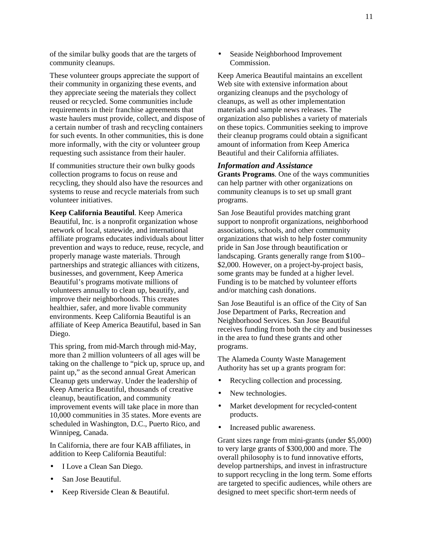of the similar bulky goods that are the targets of community cleanups.

These volunteer groups appreciate the support of their community in organizing these events, and they appreciate seeing the materials they collect reused or recycled. Some communities include requirements in their franchise agreements that waste haulers must provide, collect, and dispose of a certain number of trash and recycling containers for such events. In other communities, this is done more informally, with the city or volunteer group requesting such assistance from their hauler.

If communities structure their own bulky goods collection programs to focus on reuse and recycling, they should also have the resources and systems to reuse and recycle materials from such volunteer initiatives.

**Keep California Beautiful**. Keep America Beautiful, Inc. is a nonprofit organization whose network of local, statewide, and international affiliate programs educates individuals about litter prevention and ways to reduce, reuse, recycle, and properly manage waste materials. Through partnerships and strategic alliances with citizens, businesses, and government, Keep America Beautiful's programs motivate millions of volunteers annually to clean up, beautify, and improve their neighborhoods. This creates healthier, safer, and more livable community environments. Keep California Beautiful is an affiliate of Keep America Beautiful, based in San Diego.

This spring, from mid-March through mid-May, more than 2 million volunteers of all ages will be taking on the challenge to "pick up, spruce up, and paint up," as the second annual Great American Cleanup gets underway. Under the leadership of Keep America Beautiful, thousands of creative cleanup, beautification, and community improvement events will take place in more than 10,000 communities in 35 states. More events are scheduled in Washington, D.C., Puerto Rico, and Winnipeg, Canada.

In California, there are four KAB affiliates, in addition to Keep California Beautiful:

- I Love a Clean San Diego.
- San Jose Beautiful.
- Keep Riverside Clean & Beautiful.

• Seaside Neighborhood Improvement Commission.

Keep America Beautiful maintains an excellent Web site with extensive information about organizing cleanups and the psychology of cleanups, as well as other implementation materials and sample news releases. The organization also publishes a variety of materials on these topics. Communities seeking to improve their cleanup programs could obtain a significant amount of information from Keep America Beautiful and their California affiliates.

#### *Information and Assistance*

**Grants Programs**. One of the ways communities can help partner with other organizations on community cleanups is to set up small grant programs.

San Jose Beautiful provides matching grant support to nonprofit organizations, neighborhood associations, schools, and other community organizations that wish to help foster community pride in San Jose through beautification or landscaping. Grants generally range from \$100– \$2,000. However, on a project-by-project basis, some grants may be funded at a higher level. Funding is to be matched by volunteer efforts and/or matching cash donations.

San Jose Beautiful is an office of the City of San Jose Department of Parks, Recreation and Neighborhood Services. San Jose Beautiful receives funding from both the city and businesses in the area to fund these grants and other programs.

The Alameda County Waste Management Authority has set up a grants program for:

- Recycling collection and processing.
- New technologies.
- Market development for recycled-content products.
- Increased public awareness.

Grant sizes range from mini-grants (under \$5,000) to very large grants of \$300,000 and more. The overall philosophy is to fund innovative efforts, develop partnerships, and invest in infrastructure to support recycling in the long term. Some efforts are targeted to specific audiences, while others are designed to meet specific short-term needs of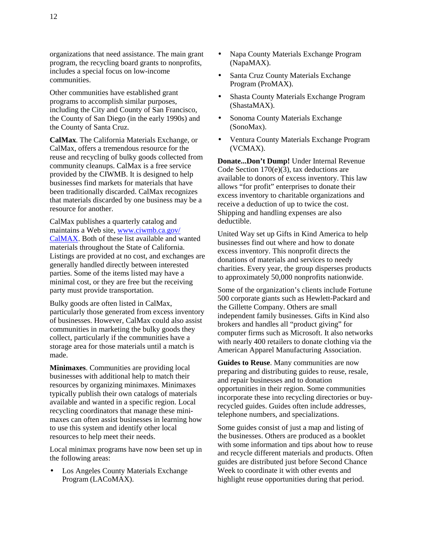organizations that need assistance. The main grant program, the recycling board grants to nonprofits, includes a special focus on low-income communities.

Other communities have established grant programs to accomplish similar purposes, including the City and County of San Francisco, the County of San Diego (in the early 1990s) and the County of Santa Cruz.

**CalMax**. The California Materials Exchange, or CalMax, offers a tremendous resource for the reuse and recycling of bulky goods collected from community cleanups. CalMax is a free service provided by the CIWMB. It is designed to help businesses find markets for materials that have been traditionally discarded. CalMax recognizes that materials discarded by one business may be a resource for another.

CalMax publishes a quarterly catalog and maintains a Web site, [www.ciwmb.ca.gov/](http://www.ciwmb.ca.gov/CalMAX) [CalMAX.](http://www.ciwmb.ca.gov/CalMAX) Both of these list available and wanted materials throughout the State of California. Listings are provided at no cost, and exchanges are generally handled directly between interested parties. Some of the items listed may have a minimal cost, or they are free but the receiving party must provide transportation.

Bulky goods are often listed in CalMax, particularly those generated from excess inventory of businesses. However, CalMax could also assist communities in marketing the bulky goods they collect, particularly if the communities have a storage area for those materials until a match is made.

**Minimaxes**. Communities are providing local businesses with additional help to match their resources by organizing minimaxes. Minimaxes typically publish their own catalogs of materials available and wanted in a specific region. Local recycling coordinators that manage these minimaxes can often assist businesses in learning how to use this system and identify other local resources to help meet their needs.

Local minimax programs have now been set up in the following areas:

• Los Angeles County Materials Exchange Program (LACoMAX).

- Napa County Materials Exchange Program (NapaMAX).
- Santa Cruz County Materials Exchange Program (ProMAX).
- Shasta County Materials Exchange Program (ShastaMAX).
- Sonoma County Materials Exchange (SonoMax).
- Ventura County Materials Exchange Program (VCMAX).

**Donate...Don't Dump!** Under Internal Revenue Code Section 170(e)(3), tax deductions are available to donors of excess inventory. This law allows "for profit" enterprises to donate their excess inventory to charitable organizations and receive a deduction of up to twice the cost. Shipping and handling expenses are also deductible.

United Way set up Gifts in Kind America to help businesses find out where and how to donate excess inventory. This nonprofit directs the donations of materials and services to needy charities. Every year, the group disperses products to approximately 50,000 nonprofits nationwide.

Some of the organization's clients include Fortune 500 corporate giants such as Hewlett-Packard and the Gillette Company. Others are small independent family businesses. Gifts in Kind also brokers and handles all "product giving" for computer firms such as Microsoft. It also networks with nearly 400 retailers to donate clothing via the American Apparel Manufacturing Association.

**Guides to Reuse**. Many communities are now preparing and distributing guides to reuse, resale, and repair businesses and to donation opportunities in their region. Some communities incorporate these into recycling directories or buyrecycled guides. Guides often include addresses, telephone numbers, and specializations.

Some guides consist of just a map and listing of the businesses. Others are produced as a booklet with some information and tips about how to reuse and recycle different materials and products. Often guides are distributed just before Second Chance Week to coordinate it with other events and highlight reuse opportunities during that period.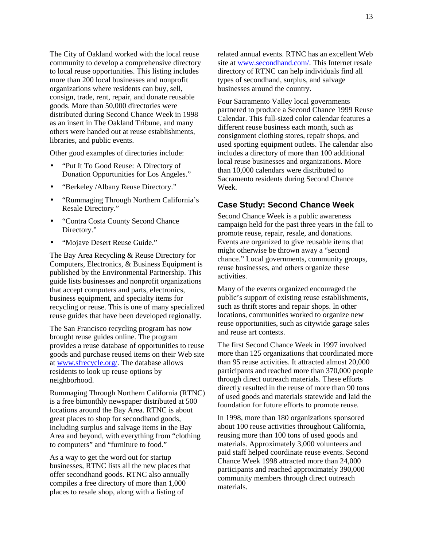The City of Oakland worked with the local reuse community to develop a comprehensive directory to local reuse opportunities. This listing includes more than 200 local businesses and nonprofit organizations where residents can buy, sell, consign, trade, rent, repair, and donate reusable goods. More than 50,000 directories were distributed during Second Chance Week in 1998 as an insert in The Oakland Tribune, and many others were handed out at reuse establishments, libraries, and public events.

Other good examples of directories include:

- "Put It To Good Reuse: A Directory of Donation Opportunities for Los Angeles."
- "Berkeley /Albany Reuse Directory."
- "Rummaging Through Northern California's Resale Directory."
- "Contra Costa County Second Chance Directory."
- "Mojave Desert Reuse Guide."

The Bay Area Recycling & Reuse Directory for Computers, Electronics, & Business Equipment is published by the Environmental Partnership. This guide lists businesses and nonprofit organizations that accept computers and parts, electronics, business equipment, and specialty items for recycling or reuse. This is one of many specialized reuse guides that have been developed regionally.

The San Francisco recycling program has now brought reuse guides online. The program provides a reuse database of opportunities to reuse goods and purchase reused items on their Web site at [www.sfrecycle.org/.](http://www.sfrecycle.org/) The database allows residents to look up reuse options by neighborhood.

Rummaging Through Northern California (RTNC) is a free bimonthly newspaper distributed at 500 locations around the Bay Area. RTNC is about great places to shop for secondhand goods, including surplus and salvage items in the Bay Area and beyond, with everything from "clothing to computers" and "furniture to food."

As a way to get the word out for startup businesses, RTNC lists all the new places that offer secondhand goods. RTNC also annually compiles a free directory of more than 1,000 places to resale shop, along with a listing of

related annual events. RTNC has an excellent Web site at [www.secondhand.com/.](http://www.secondhand.com/) This Internet resale directory of RTNC can help individuals find all types of secondhand, surplus, and salvage businesses around the country.

Four Sacramento Valley local governments partnered to produce a Second Chance 1999 Reuse Calendar. This full-sized color calendar features a different reuse business each month, such as consignment clothing stores, repair shops, and used sporting equipment outlets. The calendar also includes a directory of more than 100 additional local reuse businesses and organizations. More than 10,000 calendars were distributed to Sacramento residents during Second Chance Week.

### **Case Study: Second Chance Week**

Second Chance Week is a public awareness campaign held for the past three years in the fall to promote reuse, repair, resale, and donations. Events are organized to give reusable items that might otherwise be thrown away a "second chance." Local governments, community groups, reuse businesses, and others organize these activities.

Many of the events organized encouraged the public's support of existing reuse establishments, such as thrift stores and repair shops. In other locations, communities worked to organize new reuse opportunities, such as citywide garage sales and reuse art contests.

The first Second Chance Week in 1997 involved more than 125 organizations that coordinated more than 95 reuse activities. It attracted almost 20,000 participants and reached more than 370,000 people through direct outreach materials. These efforts directly resulted in the reuse of more than 90 tons of used goods and materials statewide and laid the foundation for future efforts to promote reuse.

In 1998, more than 180 organizations sponsored about 100 reuse activities throughout California, reusing more than 100 tons of used goods and materials. Approximately 3,000 volunteers and paid staff helped coordinate reuse events. Second Chance Week 1998 attracted more than 24,000 participants and reached approximately 390,000 community members through direct outreach materials.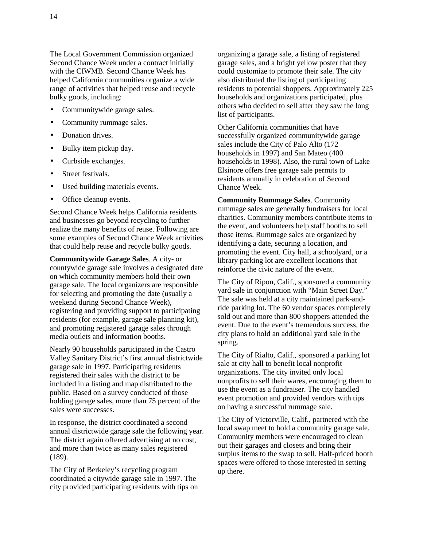The Local Government Commission organized Second Chance Week under a contract initially with the CIWMB. Second Chance Week has helped California communities organize a wide range of activities that helped reuse and recycle bulky goods, including:

- Communitywide garage sales.
- Community rummage sales.
- Donation drives.
- Bulky item pickup day.
- Curbside exchanges.
- Street festivals.
- Used building materials events.
- Office cleanup events.

Second Chance Week helps California residents and businesses go beyond recycling to further realize the many benefits of reuse. Following are some examples of Second Chance Week activities that could help reuse and recycle bulky goods.

**Communitywide Garage Sales**. A city- or countywide garage sale involves a designated date on which community members hold their own garage sale. The local organizers are responsible for selecting and promoting the date (usually a weekend during Second Chance Week), registering and providing support to participating residents (for example, garage sale planning kit), and promoting registered garage sales through media outlets and information booths.

Nearly 90 households participated in the Castro Valley Sanitary District's first annual districtwide garage sale in 1997. Participating residents registered their sales with the district to be included in a listing and map distributed to the public. Based on a survey conducted of those holding garage sales, more than 75 percent of the sales were successes.

In response, the district coordinated a second annual districtwide garage sale the following year. The district again offered advertising at no cost, and more than twice as many sales registered (189).

The City of Berkeley's recycling program coordinated a citywide garage sale in 1997. The city provided participating residents with tips on organizing a garage sale, a listing of registered garage sales, and a bright yellow poster that they could customize to promote their sale. The city also distributed the listing of participating residents to potential shoppers. Approximately 225 households and organizations participated, plus others who decided to sell after they saw the long list of participants.

Other California communities that have successfully organized communitywide garage sales include the City of Palo Alto (172 households in 1997) and San Mateo (400 households in 1998). Also, the rural town of Lake Elsinore offers free garage sale permits to residents annually in celebration of Second Chance Week.

**Community Rummage Sales**. Community rummage sales are generally fundraisers for local charities. Community members contribute items to the event, and volunteers help staff booths to sell those items. Rummage sales are organized by identifying a date, securing a location, and promoting the event. City hall, a schoolyard, or a library parking lot are excellent locations that reinforce the civic nature of the event.

The City of Ripon, Calif., sponsored a community yard sale in conjunction with "Main Street Day." The sale was held at a city maintained park-andride parking lot. The 60 vendor spaces completely sold out and more than 800 shoppers attended the event. Due to the event's tremendous success, the city plans to hold an additional yard sale in the spring.

The City of Rialto, Calif., sponsored a parking lot sale at city hall to benefit local nonprofit organizations. The city invited only local nonprofits to sell their wares, encouraging them to use the event as a fundraiser. The city handled event promotion and provided vendors with tips on having a successful rummage sale.

The City of Victorville, Calif., partnered with the local swap meet to hold a community garage sale. Community members were encouraged to clean out their garages and closets and bring their surplus items to the swap to sell. Half-priced booth spaces were offered to those interested in setting up there.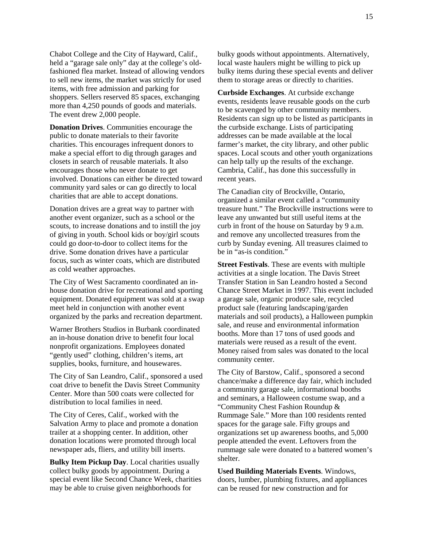Chabot College and the City of Hayward, Calif., held a "garage sale only" day at the college's oldfashioned flea market. Instead of allowing vendors to sell new items, the market was strictly for used items, with free admission and parking for shoppers. Sellers reserved 85 spaces, exchanging more than 4,250 pounds of goods and materials. The event drew 2,000 people.

**Donation Drives.** Communities encourage the public to donate materials to their favorite charities. This encourages infrequent donors to make a special effort to dig through garages and closets in search of reusable materials. It also encourages those who never donate to get involved. Donations can either be directed toward community yard sales or can go directly to local charities that are able to accept donations.

Donation drives are a great way to partner with another event organizer, such as a school or the scouts, to increase donations and to instill the joy of giving in youth. School kids or boy/girl scouts could go door-to-door to collect items for the drive. Some donation drives have a particular focus, such as winter coats, which are distributed as cold weather approaches.

The City of West Sacramento coordinated an inhouse donation drive for recreational and sporting equipment. Donated equipment was sold at a swap meet held in conjunction with another event organized by the parks and recreation department.

Warner Brothers Studios in Burbank coordinated an in-house donation drive to benefit four local nonprofit organizations. Employees donated "gently used" clothing, children's items, art supplies, books, furniture, and housewares.

The City of San Leandro, Calif., sponsored a used coat drive to benefit the Davis Street Community Center. More than 500 coats were collected for distribution to local families in need.

The City of Ceres, Calif., worked with the Salvation Army to place and promote a donation trailer at a shopping center. In addition, other donation locations were promoted through local newspaper ads, fliers, and utility bill inserts.

**Bulky Item Pickup Day**. Local charities usually collect bulky goods by appointment. During a special event like Second Chance Week, charities may be able to cruise given neighborhoods for

bulky goods without appointments. Alternatively, local waste haulers might be willing to pick up bulky items during these special events and deliver them to storage areas or directly to charities.

**Curbside Exchanges**. At curbside exchange events, residents leave reusable goods on the curb to be scavenged by other community members. Residents can sign up to be listed as participants in the curbside exchange. Lists of participating addresses can be made available at the local farmer's market, the city library, and other public spaces. Local scouts and other youth organizations can help tally up the results of the exchange. Cambria, Calif., has done this successfully in recent years.

The Canadian city of Brockville, Ontario, organized a similar event called a "community treasure hunt." The Brockville instructions were to leave any unwanted but still useful items at the curb in front of the house on Saturday by 9 a.m. and remove any uncollected treasures from the curb by Sunday evening. All treasures claimed to be in "as-is condition."

**Street Festivals**. These are events with multiple activities at a single location. The Davis Street Transfer Station in San Leandro hosted a Second Chance Street Market in 1997. This event included a garage sale, organic produce sale, recycled product sale (featuring landscaping/garden materials and soil products), a Halloween pumpkin sale, and reuse and environmental information booths. More than 17 tons of used goods and materials were reused as a result of the event. Money raised from sales was donated to the local community center.

The City of Barstow, Calif., sponsored a second chance/make a difference day fair, which included a community garage sale, informational booths and seminars, a Halloween costume swap, and a "Community Chest Fashion Roundup & Rummage Sale." More than 100 residents rented spaces for the garage sale. Fifty groups and organizations set up awareness booths, and 5,000 people attended the event. Leftovers from the rummage sale were donated to a battered women's shelter.

**Used Building Materials Events**. Windows, doors, lumber, plumbing fixtures, and appliances can be reused for new construction and for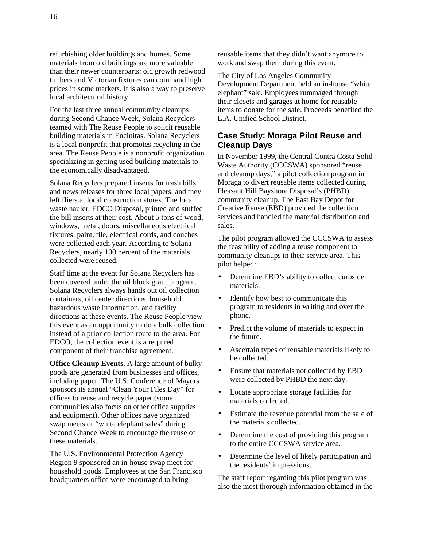refurbishing older buildings and homes. Some materials from old buildings are more valuable than their newer counterparts: old growth redwood timbers and Victorian fixtures can command high prices in some markets. It is also a way to preserve local architectural history.

For the last three annual community cleanups during Second Chance Week, Solana Recyclers teamed with The Reuse People to solicit reusable building materials in Encinitas. Solana Recyclers is a local nonprofit that promotes recycling in the area. The Reuse People is a nonprofit organization specializing in getting used building materials to the economically disadvantaged.

Solana Recyclers prepared inserts for trash bills and news releases for three local papers, and they left fliers at local construction stores. The local waste hauler, EDCO Disposal, printed and stuffed the bill inserts at their cost. About 5 tons of wood, windows, metal, doors, miscellaneous electrical fixtures, paint, tile, electrical cords, and couches were collected each year. According to Solana Recyclers, nearly 100 percent of the materials collected were reused.

Staff time at the event for Solana Recyclers has been covered under the oil block grant program. Solana Recyclers always hands out oil collection containers, oil center directions, household hazardous waste information, and facility directions at these events. The Reuse People view this event as an opportunity to do a bulk collection instead of a prior collection route to the area. For EDCO, the collection event is a required component of their franchise agreement.

**Office Cleanup Events**. A large amount of bulky goods are generated from businesses and offices, including paper. The U.S. Conference of Mayors sponsors its annual "Clean Your Files Day" for offices to reuse and recycle paper (some communities also focus on other office supplies and equipment). Other offices have organized swap meets or "white elephant sales" during Second Chance Week to encourage the reuse of these materials.

The U.S. Environmental Protection Agency Region 9 sponsored an in-house swap meet for household goods. Employees at the San Francisco headquarters office were encouraged to bring

reusable items that they didn't want anymore to work and swap them during this event.

The City of Los Angeles Community Development Department held an in-house "white elephant" sale. Employees rummaged through their closets and garages at home for reusable items to donate for the sale. Proceeds benefited the L.A. Unified School District.

## **Case Study: Moraga Pilot Reuse and Cleanup Days**

In November 1999, the Central Contra Costa Solid Waste Authority (CCCSWA) sponsored "reuse and cleanup days," a pilot collection program in Moraga to divert reusable items collected during Pleasant Hill Bayshore Disposal's (PHBD) community cleanup. The East Bay Depot for Creative Reuse (EBD) provided the collection services and handled the material distribution and sales.

The pilot program allowed the CCCSWA to assess the feasibility of adding a reuse component to community cleanups in their service area. This pilot helped:

- Determine EBD's ability to collect curbside materials.
- Identify how best to communicate this program to residents in writing and over the phone.
- Predict the volume of materials to expect in the future.
- Ascertain types of reusable materials likely to be collected.
- Ensure that materials not collected by EBD were collected by PHBD the next day.
- Locate appropriate storage facilities for materials collected.
- Estimate the revenue potential from the sale of the materials collected.
- Determine the cost of providing this program to the entire CCCSWA service area.
- Determine the level of likely participation and the residents' impressions.

The staff report regarding this pilot program was also the most thorough information obtained in the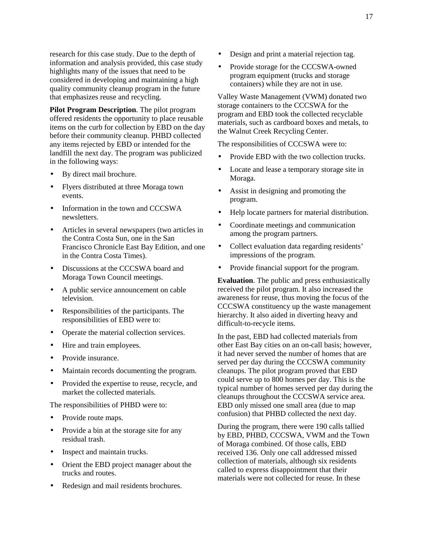research for this case study. Due to the depth of information and analysis provided, this case study highlights many of the issues that need to be considered in developing and maintaining a high quality community cleanup program in the future that emphasizes reuse and recycling.

**Pilot Program Description**. The pilot program offered residents the opportunity to place reusable items on the curb for collection by EBD on the day before their community cleanup. PHBD collected any items rejected by EBD or intended for the landfill the next day. The program was publicized in the following ways:

- By direct mail brochure.
- Flyers distributed at three Moraga town events.
- Information in the town and CCCSWA newsletters.
- Articles in several newspapers (two articles in the Contra Costa Sun, one in the San Francisco Chronicle East Bay Edition, and one in the Contra Costa Times).
- Discussions at the CCCSWA board and Moraga Town Council meetings.
- A public service announcement on cable television.
- Responsibilities of the participants. The responsibilities of EBD were to:
- Operate the material collection services.
- Hire and train employees.
- Provide insurance.
- Maintain records documenting the program.
- Provided the expertise to reuse, recycle, and market the collected materials.

The responsibilities of PHBD were to:

- Provide route maps.
- Provide a bin at the storage site for any residual trash.
- Inspect and maintain trucks.
- Orient the EBD project manager about the trucks and routes.
- Redesign and mail residents brochures.
- Design and print a material rejection tag.
- Provide storage for the CCCSWA-owned program equipment (trucks and storage containers) while they are not in use.

Valley Waste Management (VWM) donated two storage containers to the CCCSWA for the program and EBD took the collected recyclable materials, such as cardboard boxes and metals, to the Walnut Creek Recycling Center.

The responsibilities of CCCSWA were to:

- Provide EBD with the two collection trucks.
- Locate and lease a temporary storage site in Moraga.
- Assist in designing and promoting the program.
- Help locate partners for material distribution.
- Coordinate meetings and communication among the program partners.
- Collect evaluation data regarding residents' impressions of the program.
- Provide financial support for the program.

**Evaluation**. The public and press enthusiastically received the pilot program. It also increased the awareness for reuse, thus moving the focus of the CCCSWA constituency up the waste management hierarchy. It also aided in diverting heavy and difficult-to-recycle items.

In the past, EBD had collected materials from other East Bay cities on an on-call basis; however, it had never served the number of homes that are served per day during the CCCSWA community cleanups. The pilot program proved that EBD could serve up to 800 homes per day. This is the typical number of homes served per day during the cleanups throughout the CCCSWA service area. EBD only missed one small area (due to map confusion) that PHBD collected the next day.

During the program, there were 190 calls tallied by EBD, PHBD, CCCSWA, VWM and the Town of Moraga combined. Of those calls, EBD received 136. Only one call addressed missed collection of materials, although six residents called to express disappointment that their materials were not collected for reuse. In these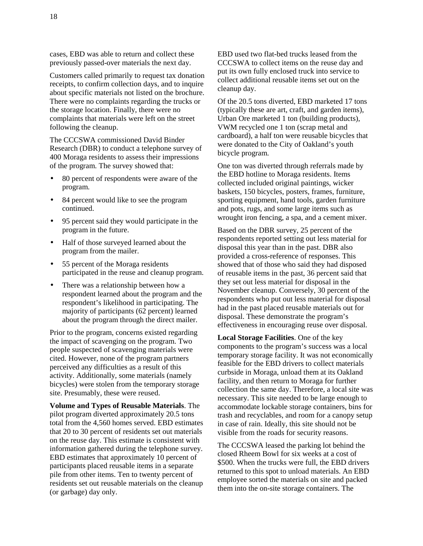cases, EBD was able to return and collect these previously passed-over materials the next day.

Customers called primarily to request tax donation receipts, to confirm collection days, and to inquire about specific materials not listed on the brochure. There were no complaints regarding the trucks or the storage location. Finally, there were no complaints that materials were left on the street following the cleanup.

The CCCSWA commissioned David Binder Research (DBR) to conduct a telephone survey of 400 Moraga residents to assess their impressions of the program. The survey showed that:

- 80 percent of respondents were aware of the program.
- 84 percent would like to see the program continued.
- 95 percent said they would participate in the program in the future.
- Half of those surveyed learned about the program from the mailer.
- 55 percent of the Moraga residents participated in the reuse and cleanup program.
- There was a relationship between how a respondent learned about the program and the respondent's likelihood in participating. The majority of participants (62 percent) learned about the program through the direct mailer.

Prior to the program, concerns existed regarding the impact of scavenging on the program. Two people suspected of scavenging materials were cited. However, none of the program partners perceived any difficulties as a result of this activity. Additionally, some materials (namely bicycles) were stolen from the temporary storage site. Presumably, these were reused.

**Volume and Types of Reusable Materials**. The pilot program diverted approximately 20.5 tons total from the 4,560 homes served. EBD estimates that 20 to 30 percent of residents set out materials on the reuse day. This estimate is consistent with information gathered during the telephone survey. EBD estimates that approximately 10 percent of participants placed reusable items in a separate pile from other items. Ten to twenty percent of residents set out reusable materials on the cleanup (or garbage) day only.

EBD used two flat-bed trucks leased from the CCCSWA to collect items on the reuse day and put its own fully enclosed truck into service to collect additional reusable items set out on the cleanup day.

Of the 20.5 tons diverted, EBD marketed 17 tons (typically these are art, craft, and garden items), Urban Ore marketed 1 ton (building products), VWM recycled one 1 ton (scrap metal and cardboard), a half ton were reusable bicycles that were donated to the City of Oakland's youth bicycle program.

One ton was diverted through referrals made by the EBD hotline to Moraga residents. Items collected included original paintings, wicker baskets, 150 bicycles, posters, frames, furniture, sporting equipment, hand tools, garden furniture and pots, rugs, and some large items such as wrought iron fencing, a spa, and a cement mixer.

Based on the DBR survey, 25 percent of the respondents reported setting out less material for disposal this year than in the past. DBR also provided a cross-reference of responses. This showed that of those who said they had disposed of reusable items in the past, 36 percent said that they set out less material for disposal in the November cleanup. Conversely, 30 percent of the respondents who put out less material for disposal had in the past placed reusable materials out for disposal. These demonstrate the program's effectiveness in encouraging reuse over disposal.

**Local Storage Facilities**. One of the key components to the program's success was a local temporary storage facility. It was not economically feasible for the EBD drivers to collect materials curbside in Moraga, unload them at its Oakland facility, and then return to Moraga for further collection the same day. Therefore, a local site was necessary. This site needed to be large enough to accommodate lockable storage containers, bins for trash and recyclables, and room for a canopy setup in case of rain. Ideally, this site should not be visible from the roads for security reasons.

The CCCSWA leased the parking lot behind the closed Rheem Bowl for six weeks at a cost of \$500. When the trucks were full, the EBD drivers returned to this spot to unload materials. An EBD employee sorted the materials on site and packed them into the on-site storage containers. The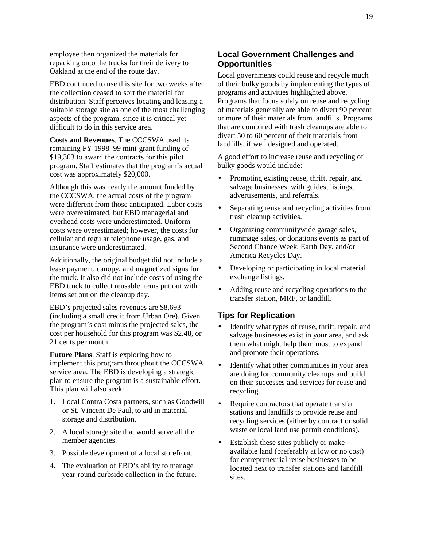employee then organized the materials for repacking onto the trucks for their delivery to Oakland at the end of the route day.

EBD continued to use this site for two weeks after the collection ceased to sort the material for distribution. Staff perceives locating and leasing a suitable storage site as one of the most challenging aspects of the program, since it is critical yet difficult to do in this service area.

**Costs and Revenues**. The CCCSWA used its remaining FY 1998–99 mini-grant funding of \$19,303 to award the contracts for this pilot program. Staff estimates that the program's actual cost was approximately \$20,000.

Although this was nearly the amount funded by the CCCSWA, the actual costs of the program were different from those anticipated. Labor costs were overestimated, but EBD managerial and overhead costs were underestimated. Uniform costs were overestimated; however, the costs for cellular and regular telephone usage, gas, and insurance were underestimated.

Additionally, the original budget did not include a lease payment, canopy, and magnetized signs for the truck. It also did not include costs of using the EBD truck to collect reusable items put out with items set out on the cleanup day.

EBD's projected sales revenues are \$8,693 (including a small credit from Urban Ore). Given the program's cost minus the projected sales, the cost per household for this program was \$2.48, or 21 cents per month.

**Future Plans**. Staff is exploring how to implement this program throughout the CCCSWA service area. The EBD is developing a strategic plan to ensure the program is a sustainable effort. This plan will also seek:

- 1. Local Contra Costa partners, such as Goodwill or St. Vincent De Paul, to aid in material storage and distribution.
- 2. A local storage site that would serve all the member agencies.
- 3. Possible development of a local storefront.
- 4. The evaluation of EBD's ability to manage year-round curbside collection in the future.

## **Local Government Challenges and Opportunities**

Local governments could reuse and recycle much of their bulky goods by implementing the types of programs and activities highlighted above. Programs that focus solely on reuse and recycling of materials generally are able to divert 90 percent or more of their materials from landfills. Programs that are combined with trash cleanups are able to divert 50 to 60 percent of their materials from landfills, if well designed and operated.

A good effort to increase reuse and recycling of bulky goods would include:

- Promoting existing reuse, thrift, repair, and salvage businesses, with guides, listings, advertisements, and referrals.
- Separating reuse and recycling activities from trash cleanup activities.
- Organizing communitywide garage sales, rummage sales, or donations events as part of Second Chance Week, Earth Day, and/or America Recycles Day.
- Developing or participating in local material exchange listings.
- Adding reuse and recycling operations to the transfer station, MRF, or landfill.

## **Tips for Replication**

- Identify what types of reuse, thrift, repair, and salvage businesses exist in your area, and ask them what might help them most to expand and promote their operations.
- Identify what other communities in your area are doing for community cleanups and build on their successes and services for reuse and recycling.
- Require contractors that operate transfer stations and landfills to provide reuse and recycling services (either by contract or solid waste or local land use permit conditions).
- Establish these sites publicly or make available land (preferably at low or no cost) for entrepreneurial reuse businesses to be located next to transfer stations and landfill sites.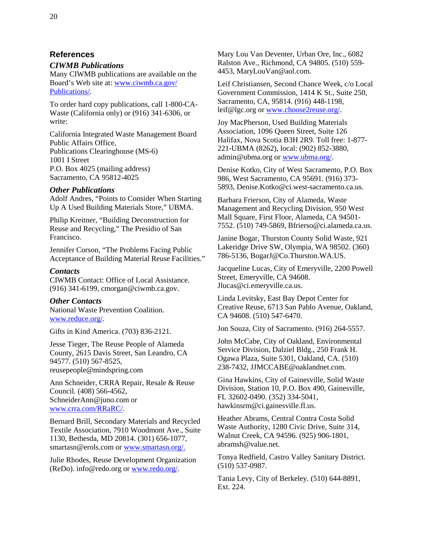#### **References**

#### *CIWMB Publications*

Many CIWMB publications are available on the Board's Web site at: [www.ciwmb.ca.gov/](http://www.ciwmb.ca.gov/Publications/) [Publications/.](http://www.ciwmb.ca.gov/Publications/)

To order hard copy publications, call 1-800-CA-Waste (California only) or (916) 341-6306, or write:

California Integrated Waste Management Board Public Affairs Office, Publications Clearinghouse (MS-6) 1001 I Street P.O. Box 4025 (mailing address) Sacramento, CA 95812-4025

#### *Other Publications*

Adolf Andres, "Points to Consider When Starting Up A Used Building Materials Store," UBMA.

Philip Kreitner, "Building Deconstruction for Reuse and Recycling," The Presidio of San Francisco.

Jennifer Corson, "The Problems Facing Public Acceptance of Building Material Reuse Facilities."

#### *Contacts*

CIWMB Contact: Office of Local Assistance. (916) 341-6199, cmorgan@ciwmb.ca.gov.

#### *Other Contacts*

National Waste Prevention Coalition. [www.reduce.org/.](http://www.reduce.org/)

Gifts in Kind America. (703) 836-2121.

Jesse Tieger, The Reuse People of Alameda County, 2615 Davis Street, San Leandro, CA 94577. (510) 567-8525, reusepeople@mindspring.com

Ann Schneider, CRRA Repair, Resale & Reuse Council. (408) 566-4562, SchneiderAnn@juno.com or [www.crra.com/RRaRC/.](http://www.crra.com/RRaRC/) 

Bernard Brill, Secondary Materials and Recycled Textile Association, 7910 Woodmont Ave., Suite 1130, Bethesda, MD 20814. (301) 656-1077, smartasn@erols.com or [www.smartasn.org/.](http://www.smartasn.org/)

Julie Rhodes, Reuse Development Organization (ReDo). info@redo.org or [www.redo.org/](http://www.redo.org/).

Mary Lou Van Deventer, Urban Ore, Inc., 6082 Ralston Ave., Richmond, CA 94805. (510) 559- 4453, MaryLouVan@aol.com.

Leif Christiansen, Second Chance Week, c/o Local Government Commission, 1414 K St., Suite 250, Sacramento, CA, 95814. (916) 448-1198, leif@lgc.org or [www.choose2reuse.org/.](http://www.choose2reuse.org/) 

Joy MacPherson, Used Building Materials Association, 1096 Queen Street, Suite 126 Halifax, Nova Scotia B3H 2R9. Toll free: 1-877- 221-UBMA (8262), local: (902) 852-3880, admin@ubma.org or [www.ubma.org/.](http://www.ubma.org/)

Denise Kotko, City of West Sacramento, P.O. Box 986, West Sacramento, CA 95691. (916) 373- 5893, Denise.Kotko@ci.west-sacramento.ca.us.

Barbara Frierson, City of Alameda, Waste Management and Recycling Division, 950 West Mall Square, First Floor, Alameda, CA 94501- 7552. (510) 749-5869, Bfrierso@ci.alameda.ca.us.

Janine Bogar, Thurston County Solid Waste, 921 Lakeridge Drive SW, Olympia, WA 98502. (360) 786-5136, BogarJ@Co.Thurston.WA.US.

Jacqueline Lucas, City of Emeryville, 2200 Powell Street, Emeryville, CA 94608. Jlucas@ci.emeryville.ca.us.

Linda Levitsky, East Bay Depot Center for Creative Reuse, 6713 San Pablo Avenue, Oakland, CA 94608. (510) 547-6470.

Jon Souza, City of Sacramento. (916) 264-5557.

John McCabe, City of Oakland, Environmental Service Division, Dalziel Bldg., 250 Frank H. Ogawa Plaza, Suite 5301, Oakland, CA. (510) 238-7432, JJMCCABE@oaklandnet.com.

Gina Hawkins, City of Gainesville, Solid Waste Division, Station 10, P.O. Box 490, Gainesville, FL 32602-0490. (352) 334-5041, hawkinsrm@ci.gainesville.fl.us.

Heather Abrams, Central Contra Costa Solid Waste Authority, 1280 Civic Drive, Suite 314, Walnut Creek, CA 94596. (925) 906-1801, abramsh@value.net.

Tonya Redfield, Castro Valley Sanitary District. (510) 537-0987.

Tania Levy, City of Berkeley. (510) 644-8891, Ext. 224.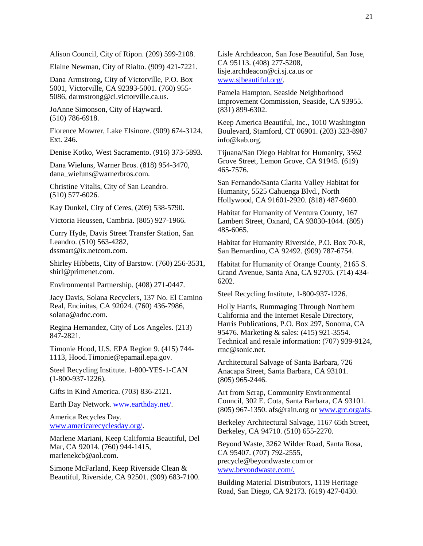Alison Council, City of Ripon. (209) 599-2108.

Elaine Newman, City of Rialto. (909) 421-7221.

Dana Armstrong, City of Victorville, P.O. Box 5001, Victorville, CA 92393-5001. (760) 955- 5086, darmstrong@ci.victorville.ca.us.

JoAnne Simonson, City of Hayward. (510) 786-6918.

Florence Mowrer, Lake Elsinore. (909) 674-3124, Ext. 246.

Denise Kotko, West Sacramento. (916) 373-5893.

Dana Wieluns, Warner Bros. (818) 954-3470, dana\_wieluns@warnerbros.com.

Christine Vitalis, City of San Leandro. (510) 577-6026.

Kay Dunkel, City of Ceres, (209) 538-5790.

Victoria Heussen, Cambria. (805) 927-1966.

Curry Hyde, Davis Street Transfer Station, San Leandro. (510) 563-4282, dssmart@ix.netcom.com.

Shirley Hibbetts, City of Barstow. (760) 256-3531, shirl@primenet.com.

Environmental Partnership. (408) 271-0447.

Jacy Davis, Solana Recyclers, 137 No. El Camino Real, Encinitas, CA 92024. (760) 436-7986, solana@adnc.com.

Regina Hernandez, City of Los Angeles. (213) 847-2821.

Timonie Hood, U.S. EPA Region 9. (415) 744- 1113, Hood.Timonie@epamail.epa.gov.

Steel Recycling Institute. 1-800-YES-1-CAN (1-800-937-1226).

Gifts in Kind America. (703) 836-2121.

Earth Day Network. [www.earthday.net/](http://www.earthday.net/).

America Recycles Day. [www.americarecyclesday.org/.](http://www.americarecyclesday.org/)

Marlene Mariani, Keep California Beautiful, Del Mar, CA 92014. (760) 944-1415, marlenekcb@aol.com.

Simone McFarland, Keep Riverside Clean & Beautiful, Riverside, CA 92501. (909) 683-7100. Lisle Archdeacon, San Jose Beautiful, San Jose, CA 95113. (408) 277-5208, lisje.archdeacon@ci.sj.ca.us or [www.sjbeautiful.org/](http://www.sjbeautiful.org/).

Pamela Hampton, Seaside Neighborhood Improvement Commission, Seaside, CA 93955. (831) 899-6302.

Keep America Beautiful, Inc., 1010 Washington Boulevard, Stamford, CT 06901. (203) 323-8987 info@kab.org.

Tijuana/San Diego Habitat for Humanity, 3562 Grove Street, Lemon Grove, CA 91945. (619) 465-7576.

San Fernando/Santa Clarita Valley Habitat for Humanity, 5525 Cahuenga Blvd., North Hollywood, CA 91601-2920. (818) 487-9600.

Habitat for Humanity of Ventura County, 167 Lambert Street, Oxnard, CA 93030-1044. (805) 485-6065.

Habitat for Humanity Riverside, P.O. Box 70-R, San Bernardino, CA 92492. (909) 787-6754.

Habitat for Humanity of Orange County, 2165 S. Grand Avenue, Santa Ana, CA 92705. (714) 434- 6202.

Steel Recycling Institute, 1-800-937-1226.

Holly Harris, Rummaging Through Northern California and the Internet Resale Directory, Harris Publications, P.O. Box 297, Sonoma, CA 95476. Marketing & sales: (415) 921-3554. Technical and resale information: (707) 939-9124, rtnc@sonic.net.

Architectural Salvage of Santa Barbara, 726 Anacapa Street, Santa Barbara, CA 93101. (805) 965-2446.

Art from Scrap, Community Environmental Council, 302 E. Cota, Santa Barbara, CA 93101. (805) 967-1350. afs@rain.org or [www.grc.org/afs.](http://www.grc.org/afs)

Berkeley Architectural Salvage, 1167 65th Street, Berkeley, CA 94710. (510) 655-2270.

Beyond Waste, 3262 Wilder Road, Santa Rosa, CA 95407. (707) 792-2555, precycle@beyondwaste.com or [www.beyondwaste.com/](http://www.beyondwaste.com/).

Building Material Distributors, 1119 Heritage Road, San Diego, CA 92173. (619) 427-0430.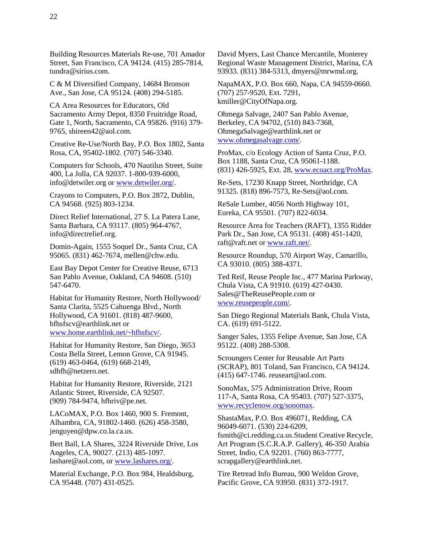Building Resources Materials Re-use, 701 Amador Street, San Francisco, CA 94124. (415) 285-7814, tundra@sirius.com.

C & M Diversified Company, 14684 Bronson Ave., San Jose, CA 95124. (408) 294-5185.

CA Area Resources for Educators, Old Sacramento Army Depot, 8350 Fruitridge Road, Gate 1, North, Sacramento, CA 95826. (916) 379- 9765, shireen42@aol.com.

Creative Re-Use/North Bay, P.O. Box 1802, Santa Rosa, CA, 95402-1802. (707) 546-3340.

Computers for Schools, 470 Nautilus Street, Suite 400, La Jolla, CA 92037. 1-800-939-6000, info@detwiler.org or [www.detwiler.org/](http://www.detwiler.org/).

Crayons to Computers, P.O. Box 2872, Dublin, CA 94568. (925) 803-1234.

Direct Relief International, 27 S. La Patera Lane, Santa Barbara, CA 93117. (805) 964-4767, info@directrelief.org.

Domin-Again, 1555 Soquel Dr., Santa Cruz, CA 95065. (831) 462-7674, mellen@chw.edu.

East Bay Depot Center for Creative Reuse, 6713 San Pablo Avenue, Oakland, CA 94608. (510) 547-6470.

Habitat for Humanity Restore, North Hollywood/ Santa Clarita, 5525 Cahuenga Blvd., North Hollywood, CA 91601. (818) 487-9600, hfhsfscv@earthlink.net or [www.home.earthlink.net/~hfhsfscv/.](http://www.home.earthlink.net/~hfhsfscv/)

Habitat for Humanity Restore, San Diego, 3653 Costa Bella Street, Lemon Grove, CA 91945. (619) 463-0464, (619) 668-2149, sdhfh@netzero.net.

Habitat for Humanity Restore, Riverside, 2121 Atlantic Street, Riverside, CA 92507. (909) 784-9474, hfhriv@pe.net.

LACoMAX, P.O. Box 1460, 900 S. Fremont, Alhambra, CA, 91802-1460. (626) 458-3580, jenguyen@dpw.co.la.ca.us.

Bert Ball, LA Shares, 3224 Riverside Drive, Los Angeles, CA, 90027. (213) 485-1097. lashare@aol.com, or [www.lashares.org/.](http://www.lashares.org/) 

Material Exchange, P.O. Box 984, Healdsburg, CA 95448. (707) 431-0525.

David Myers, Last Chance Mercantile, Monterey Regional Waste Management District, Marina, CA 93933. (831) 384-5313, dmyers@mrwmd.org.

NapaMAX, P.O. Box 660, Napa, CA 94559-0660. (707) 257-9520, Ext. 7291, kmiller@CityOfNapa.org.

Ohmega Salvage, 2407 San Pablo Avenue, Berkeley, CA 94702, (510) 843-7368, OhmegaSalvage@earthlink.net or [www.ohmegasalvage.com/.](http://www.ohmegasalvage.com/) 

ProMax, c/o Ecology Action of Santa Cruz, P.O. Box 1188, Santa Cruz, CA 95061-1188. (831) 426-5925, Ext. 28, [www.ecoact.org/ProMax](http://www.ecoact.org/ProMax).

Re-Sets, 17230 Knapp Street, Northridge, CA 91325. (818) 896-7573, Re-Sets@aol.com.

ReSale Lumber, 4056 North Highway 101, Eureka, CA 95501. (707) 822-6034.

Resource Area for Teachers (RAFT), 1355 Ridder Park Dr., San Jose, CA 95131. (408) 451-1420, raft@raft.net or [www.raft.net/](http://www.raft.net/).

Resource Roundup, 570 Airport Way, Camarillo, CA 93010. (805) 388-4371.

Ted Reif, Reuse People Inc., 477 Marina Parkway, Chula Vista, CA 91910. (619) 427-0430. Sales@TheReusePeople.com or [www.reusepeople.com/.](http://www.reusepeople.com/) 

San Diego Regional Materials Bank, Chula Vista, CA. (619) 691-5122.

Sanger Sales, 1355 Felipe Avenue, San Jose, CA 95122. (408) 288-5308.

Scroungers Center for Reusable Art Parts (SCRAP), 801 Toland, San Francisco, CA 94124. (415) 647-1746. reuseart@aol.com.

SonoMax, 575 Administration Drive, Room 117-A, Santa Rosa, CA 95403. (707) 527-3375, [www.recyclenow.org/sonomax.](http://www.recyclenow.org/sonomax)

ShastaMax, P.O. Box 496071, Redding, CA 96049-6071. (530) 224-6209, fsmith@ci.redding.ca.us.Student Creative Recycle, Art Program (S.C.R.A.P. Gallery), 46-350 Arabia Street, Indio, CA 92201. (760) 863-7777, scrapgallery@earthlink.net.

Tire Retread Info Bureau, 900 Weldon Grove, Pacific Grove, CA 93950. (831) 372-1917.